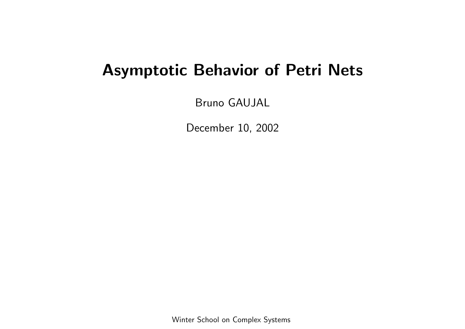# Asymptotic Behavior of Petri Nets

Bruno GAUJAL

December 10, 2002

Winter School on Complex Systems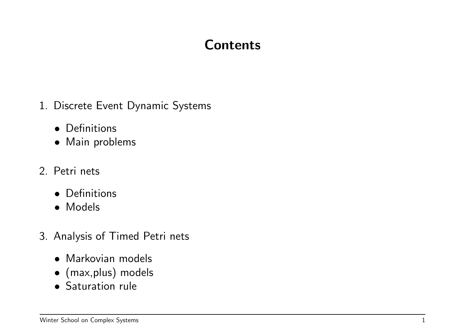# Contents

- 1. Discrete Event Dynamic Systems
	- Definitions
	- Main problems
- 2. Petri nets
	- Definitions
	- Models
- 3. Analysis of Timed Petri nets
	- Markovian models
	- (max,plus) models
	- Saturation rule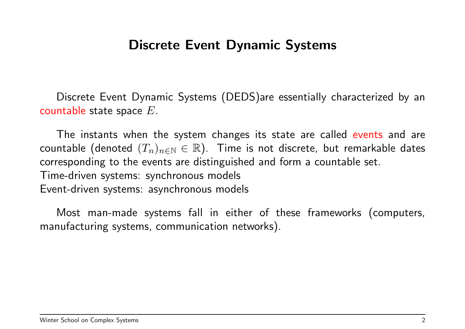#### Discrete Event Dynamic Systems

Discrete Event Dynamic Systems (DEDS)are essentially characterized by an countable state space  $E$ .

The instants when the system changes its state are called events and are countable (denoted  $(T_n)_{n\in\mathbb{N}}\in\mathbb{R}$ ). Time is not discrete, but remarkable dates corresponding to the events are distinguished and form a countable set. Time-driven systems: synchronous models Event-driven systems: asynchronous models

Most man-made systems fall in either of these frameworks (computers, manufacturing systems, communication networks).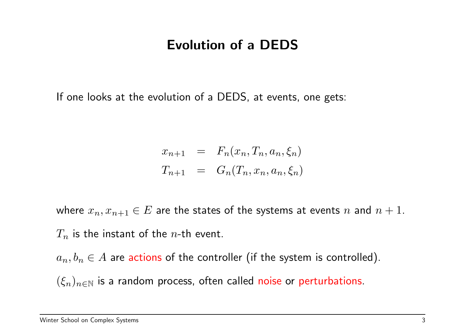### Evolution of a DEDS

If one looks at the evolution of a DEDS, at events, one gets:

$$
x_{n+1} = F_n(x_n, T_n, a_n, \xi_n)
$$
  

$$
T_{n+1} = G_n(T_n, x_n, a_n, \xi_n)
$$

where  $x_n, x_{n+1} \in E$  are the states of the systems at events n and  $n+1$ .  $T_n$  is the instant of the *n*-th event.

 $a_n, b_n \in A$  are actions of the controller (if the system is controlled).

 $(\xi_n)_{n\in\mathbb{N}}$  is a random process, often called noise or perturbations.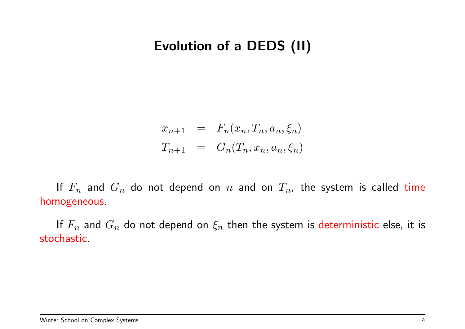### Evolution of a DEDS (II)

$$
x_{n+1} = F_n(x_n, T_n, a_n, \xi_n)
$$
  

$$
T_{n+1} = G_n(T_n, x_n, a_n, \xi_n)
$$

If  $F_n$  and  $G_n$  do not depend on  $n$  and on  $T_n$ , the system is called time homogeneous.

If  $F_n$  and  $G_n$  do not depend on  $\xi_n$  then the system is deterministic else, it is stochastic.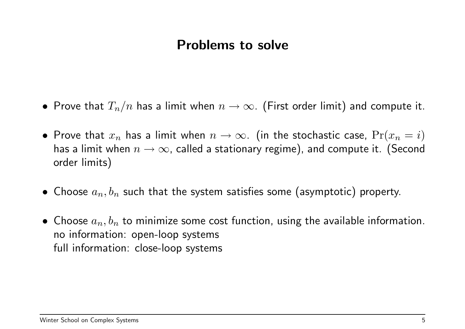#### Problems to solve

- Prove that  $T_n/n$  has a limit when  $n \to \infty$ . (First order limit) and compute it.
- Prove that  $x_n$  has a limit when  $n \to \infty$ . (in the stochastic case,  $Pr(x_n = i)$ has a limit when  $n \to \infty$ , called a stationary regime), and compute it. (Second order limits)
- Choose  $a_n, b_n$  such that the system satisfies some (asymptotic) property.
- Choose  $a_n, b_n$  to minimize some cost function, using the available information. no information: open-loop systems full information: close-loop systems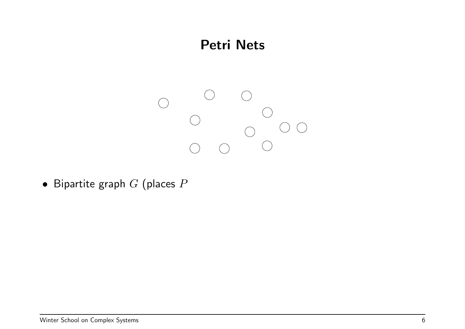

• Bipartite graph  $G$  (places  $P$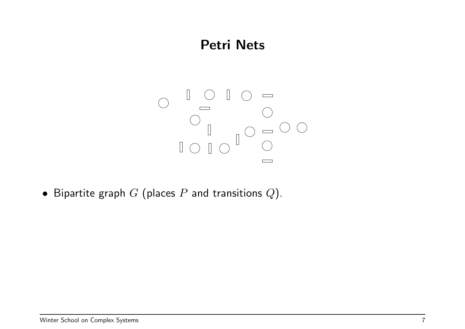

• Bipartite graph  $G$  (places  $P$  and transitions  $Q$ ).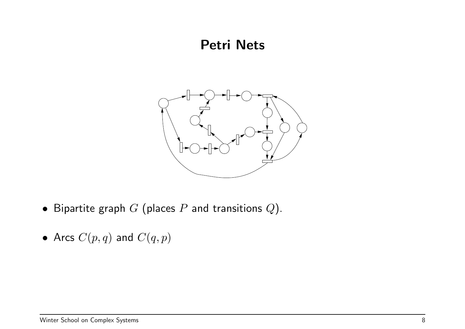

- Bipartite graph  $G$  (places  $P$  and transitions  $Q$ ).
- Arcs  $C(p,q)$  and  $C(q,p)$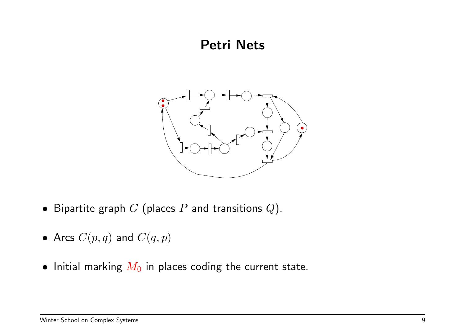

- Bipartite graph  $G$  (places  $P$  and transitions  $Q$ ).
- Arcs  $C(p,q)$  and  $C(q,p)$
- Initial marking  $M_0$  in places coding the current state.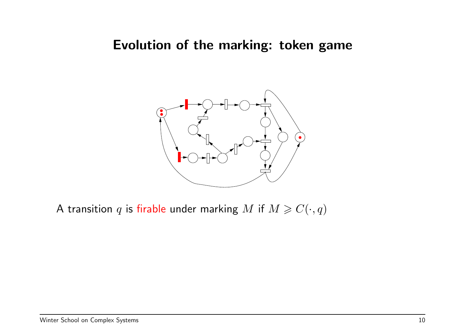#### Evolution of the marking: token game



A transition q is firable under marking M if  $M \geqslant C(\cdot,q)$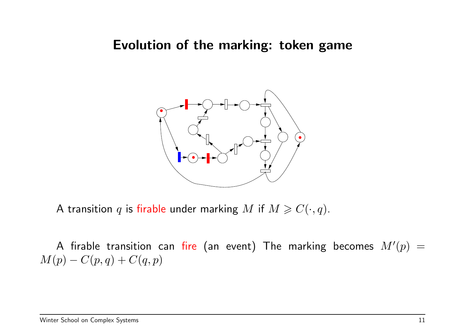#### Evolution of the marking: token game



A transition q is firable under marking M if  $M \geqslant C(\cdot,q)$ .

A firable transition can fire (an event) The marking becomes  $M'(p)\,=\,$  $M(p) - C(p, q) + C(q, p)$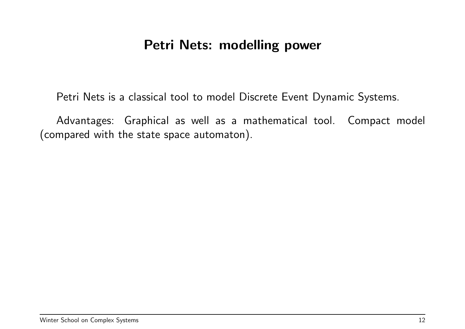### Petri Nets: modelling power

Petri Nets is a classical tool to model Discrete Event Dynamic Systems.

Advantages: Graphical as well as a mathematical tool. Compact model (compared with the state space automaton).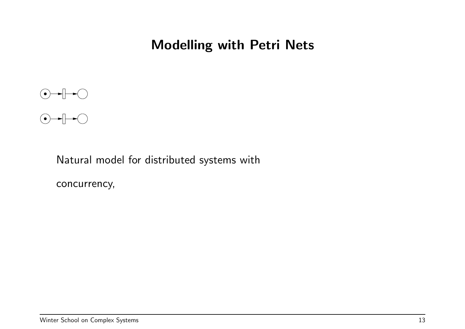



Natural model for distributed systems with

concurrency,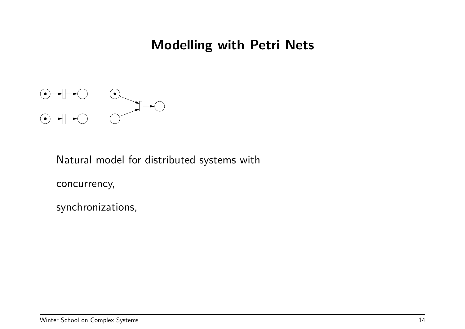

Natural model for distributed systems with

concurrency,

synchronizations,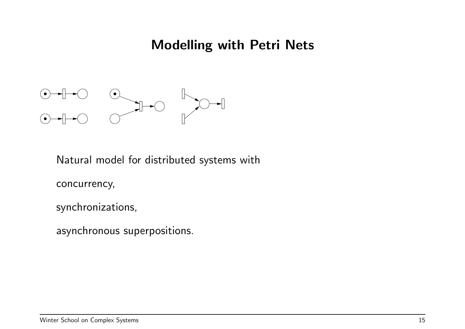

Natural model for distributed systems with

concurrency,

synchronizations,

asynchronous superpositions.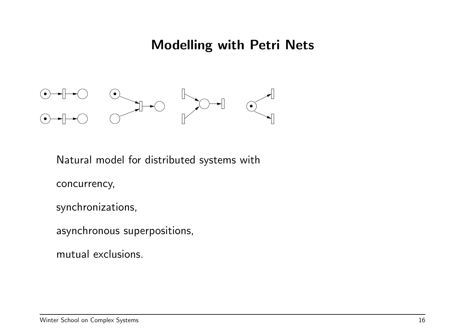

Natural model for distributed systems with

concurrency,

synchronizations,

asynchronous superpositions,

mutual exclusions.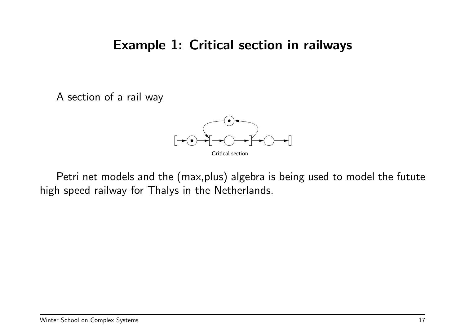#### Example 1: Critical section in railways

A section of a rail way



Petri net models and the (max,plus) algebra is being used to model the futute high speed railway for Thalys in the Netherlands.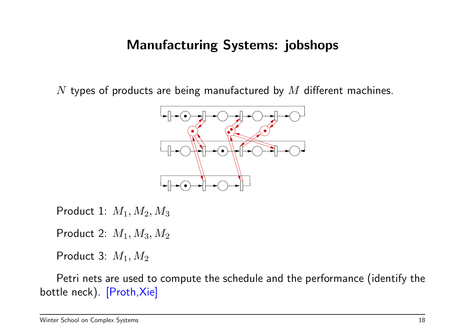### Manufacturing Systems: jobshops

 $N$  types of products are being manufactured by  $M$  different machines.



Product 1:  $M_1, M_2, M_3$ 

Product 2:  $M_1, M_3, M_2$ 

Product 3:  $M_1, M_2$ 

Petri nets are used to compute the schedule and the performance (identify the bottle neck). [Proth,Xie]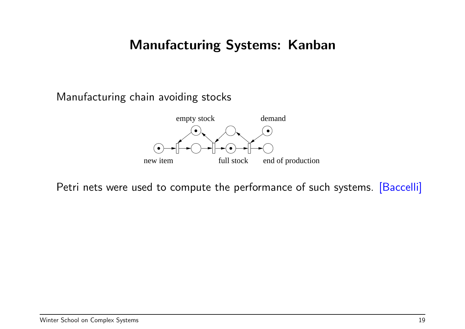### Manufacturing Systems: Kanban

Manufacturing chain avoiding stocks



Petri nets were used to compute the performance of such systems. [Baccelli]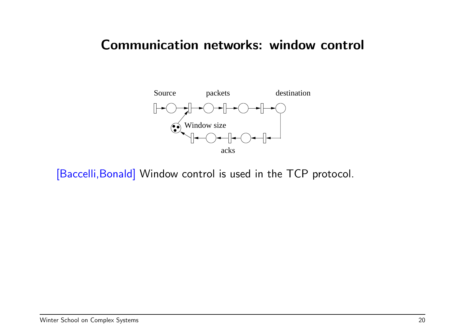#### Communication networks: window control



[Baccelli, Bonald] Window control is used in the TCP protocol.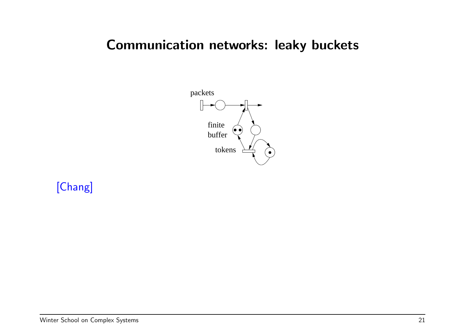### Communication networks: leaky buckets



[Chang]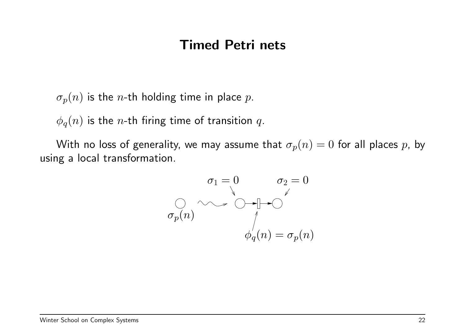#### Timed Petri nets

 $\sigma_p(n)$  is the *n*-th holding time in place p.

 $\phi_q(n)$  is the *n*-th firing time of transition q.

With no loss of generality, we may assume that  $\sigma_p(n) = 0$  for all places p, by using a local transformation.

$$
\sigma_1 = 0 \qquad \sigma_2 = 0
$$
  

$$
\sigma_p(n) \qquad \qquad \downarrow
$$
  

$$
\phi_q(n) = \sigma_p(n)
$$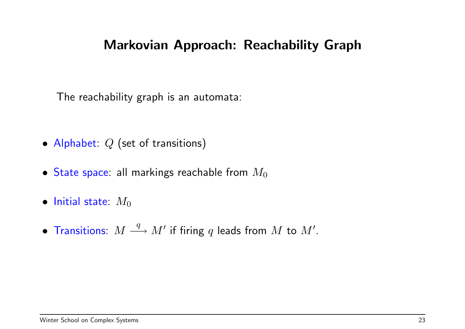### Markovian Approach: Reachability Graph

The reachability graph is an automata:

- Alphabet: Q (set of transitions)
- State space: all markings reachable from  $M_0$
- Initial state:  $M_0$
- Transitions:  $M \stackrel{q}{\longrightarrow} M'$  if firing  $q$  leads from  $M$  to  $M'.$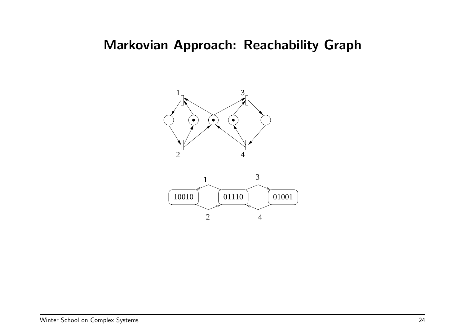### Markovian Approach: Reachability Graph



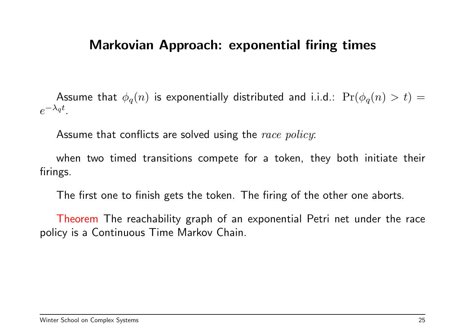#### Markovian Approach: exponential firing times

Assume that  $\phi_q(n)$  is exponentially distributed and i.i.d.:  $Pr(\phi_q(n) > t)$  =  $e^{-\lambda_q t}$ .

Assume that conflicts are solved using the race policy:

when two timed transitions compete for a token, they both initiate their firings.

The first one to finish gets the token. The firing of the other one aborts.

Theorem The reachability graph of an exponential Petri net under the race policy is a Continuous Time Markov Chain.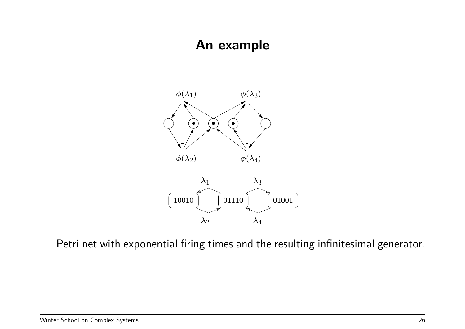#### An example



Petri net with exponential firing times and the resulting infinitesimal generator.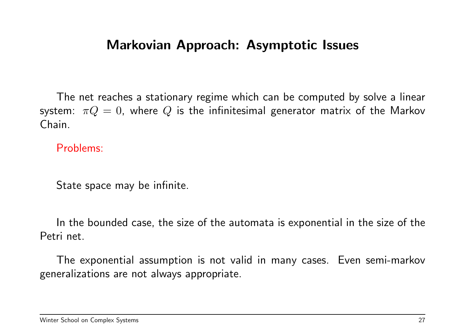#### Markovian Approach: Asymptotic Issues

The net reaches a stationary regime which can be computed by solve a linear system:  $\pi Q = 0$ , where Q is the infinitesimal generator matrix of the Markov Chain.

Problems:

State space may be infinite.

In the bounded case, the size of the automata is exponential in the size of the Petri net.

The exponential assumption is not valid in many cases. Even semi-markov generalizations are not always appropriate.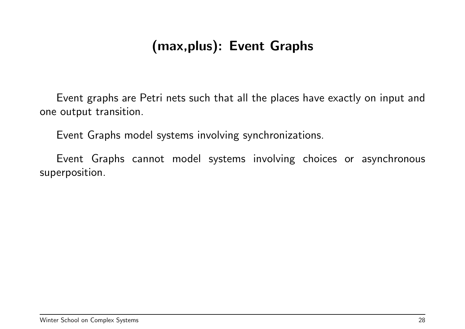# (max,plus): Event Graphs

Event graphs are Petri nets such that all the places have exactly on input and one output transition.

Event Graphs model systems involving synchronizations.

Event Graphs cannot model systems involving choices or asynchronous superposition.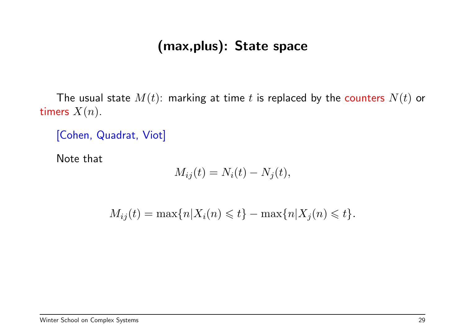### (max,plus): State space

The usual state  $M(t)$ : marking at time t is replaced by the counters  $N(t)$  or timers  $X(n)$ .

[Cohen, Quadrat, Viot]

Note that

$$
M_{ij}(t) = N_i(t) - N_j(t),
$$

 $M_{ij}(t) = \max\{n | X_i(n) \leq t\} - \max\{n | X_i(n) \leq t\}.$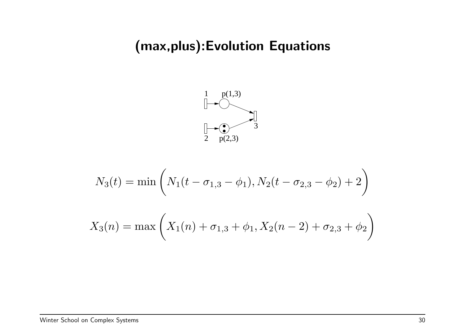# (max,plus):Evolution Equations



$$
N_3(t) = \min\left(N_1(t - \sigma_{1,3} - \phi_1), N_2(t - \sigma_{2,3} - \phi_2) + 2\right)
$$

$$
X_3(n) = \max\left(X_1(n) + \sigma_{1,3} + \phi_1, X_2(n - 2) + \sigma_{2,3} + \phi_2\right)
$$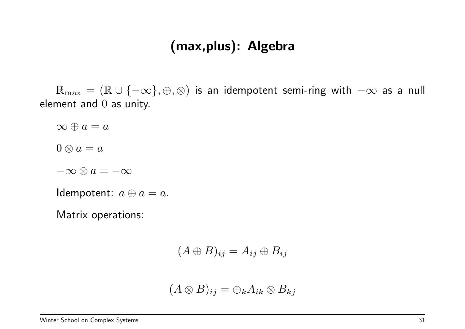### (max,plus): Algebra

 $\mathbb{R}_{\text{max}} = (\mathbb{R} \cup \{-\infty\}, \oplus, \otimes)$  is an idempotent semi-ring with  $-\infty$  as a null element and 0 as unity.

 $\infty \oplus a = a$  $0 \otimes a = a$  $-\infty \otimes a = -\infty$ Idempotent:  $a \oplus a = a$ .

Matrix operations:

 $(A \oplus B)_{ij} = A_{ij} \oplus B_{ij}$ 

$$
(A\otimes B)_{ij}=\oplus_k A_{ik}\otimes B_{kj}
$$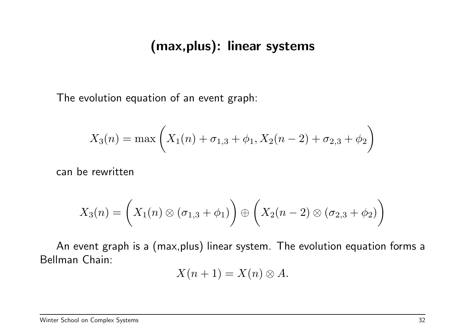### (max,plus): linear systems

The evolution equation of an event graph:

$$
X_3(n) = \max\left(X_1(n) + \sigma_{1,3} + \phi_1, X_2(n-2) + \sigma_{2,3} + \phi_2\right)
$$

can be rewritten

$$
X_3(n) = \left(X_1(n) \otimes (\sigma_{1,3} + \phi_1)\right) \oplus \left(X_2(n-2) \otimes (\sigma_{2,3} + \phi_2)\right)
$$

An event graph is a (max,plus) linear system. The evolution equation forms a Bellman Chain:

$$
X(n+1) = X(n) \otimes A.
$$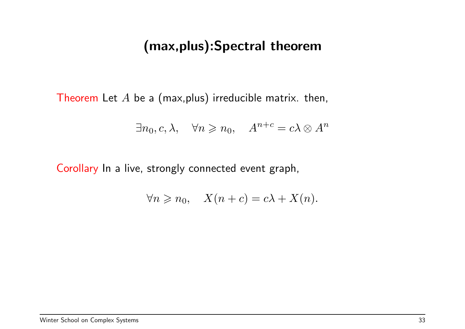### (max,plus):Spectral theorem

Theorem Let  $A$  be a (max, plus) irreducible matrix. then,

$$
\exists n_0, c, \lambda, \quad \forall n \geq n_0, \quad A^{n+c} = c\lambda \otimes A^n
$$

Corollary In a live, strongly connected event graph,

$$
\forall n \geq n_0, \quad X(n+c) = c\lambda + X(n).
$$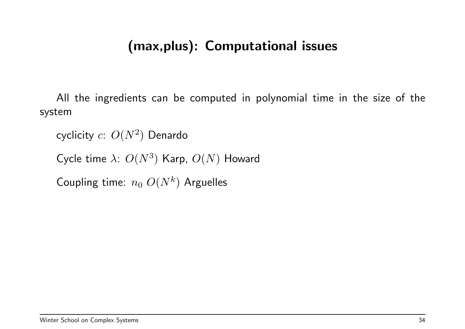### (max,plus): Computational issues

All the ingredients can be computed in polynomial time in the size of the system

cyclicity  $c\hbox{:}\,\, O(N^2)\,$  Denardo

Cycle time  $\lambda$ :  $O(N^3)$  Karp,  $O(N)$  Howard

Coupling time:  $n_0$   $O(N^k)$  Arguelles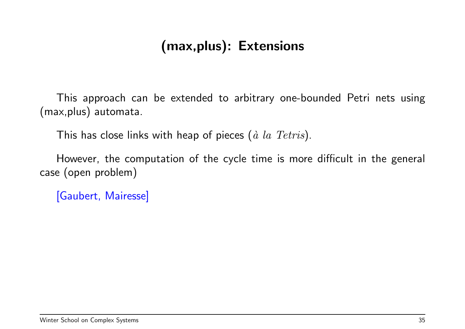# (max,plus): Extensions

This approach can be extended to arbitrary one-bounded Petri nets using (max,plus) automata.

This has close links with heap of pieces  $(\hat{a} \text{ } la \text{ } Tetris).$ 

However, the computation of the cycle time is more difficult in the general case (open problem)

[Gaubert, Mairesse]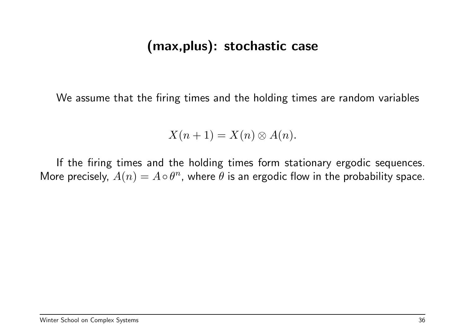### (max,plus): stochastic case

We assume that the firing times and the holding times are random variables

$$
X(n+1) = X(n) \otimes A(n).
$$

If the firing times and the holding times form stationary ergodic sequences. More precisely,  $A(n) = A \circ \theta^n$ , where  $\theta$  is an ergodic flow in the probability space.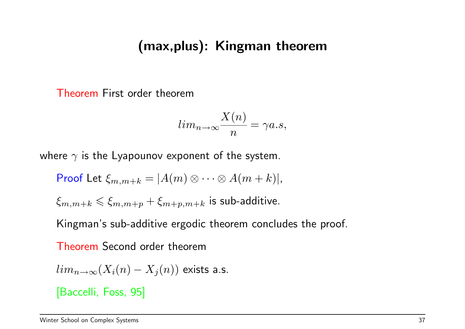#### (max,plus): Kingman theorem

Theorem First order theorem

$$
lim_{n\to\infty}\frac{X(n)}{n}=\gamma a.s,
$$

where  $\gamma$  is the Lyapounov exponent of the system.

Proof Let 
$$
\xi_{m,m+k} = |A(m) \otimes \cdots \otimes A(m+k)|
$$
,  
 $\xi_{m,m+k} \le \xi_{m,m+p} + \xi_{m+p,m+k}$  is sub-additive.

Kingman's sub-additive ergodic theorem concludes the proof.

Theorem Second order theorem

$$
lim_{n\to\infty}(X_i(n)-X_j(n))
$$
 exists a.s.

[Baccelli, Foss, 95]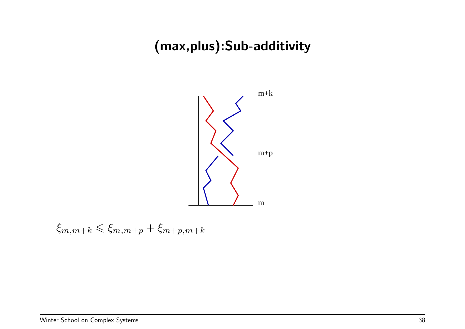# (max,plus):Sub-additivity



 $\xi_{m,m+k} \leq \xi_{m,m+p} + \xi_{m+p,m+k}$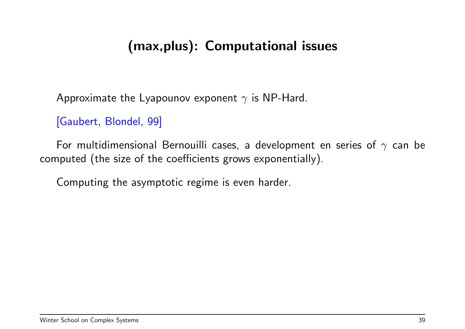## (max,plus): Computational issues

Approximate the Lyapounov exponent  $\gamma$  is NP-Hard.

[Gaubert, Blondel, 99]

For multidimensional Bernouilli cases, a development en series of  $\gamma$  can be computed (the size of the coefficients grows exponentially).

Computing the asymptotic regime is even harder.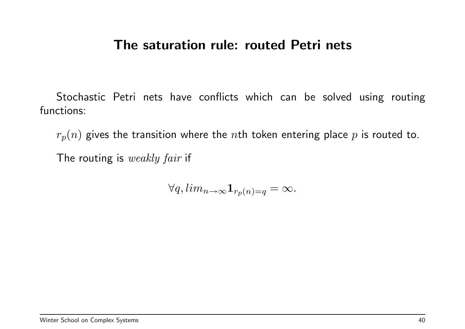#### The saturation rule: routed Petri nets

Stochastic Petri nets have conflicts which can be solved using routing functions:

 $r_p(n)$  gives the transition where the nth token entering place p is routed to.

The routing is weakly fair if

 $\forall q, \lim_{n \to \infty} \mathbf{1}_{r_p(n)=q} = \infty.$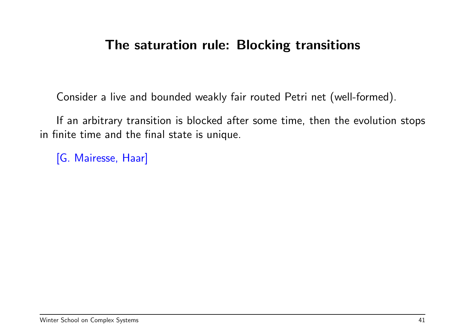### The saturation rule: Blocking transitions

Consider a live and bounded weakly fair routed Petri net (well-formed).

If an arbitrary transition is blocked after some time, then the evolution stops in finite time and the final state is unique.

[G. Mairesse, Haar]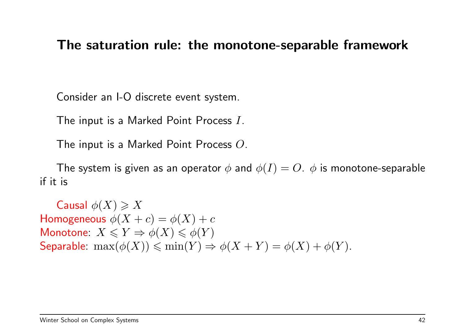#### The saturation rule: the monotone-separable framework

Consider an I-O discrete event system.

The input is a Marked Point Process I.

The input is a Marked Point Process O.

The system is given as an operator  $\phi$  and  $\phi(I) = O$ .  $\phi$  is monotone-separable if it is

Causal  $\phi(X) \geqslant X$ Homogeneous  $\phi(X + c) = \phi(X) + c$ Monotone:  $X \leqslant Y \Rightarrow \phi(X) \leqslant \phi(Y)$ Separable:  $\max(\phi(X)) \leq \min(Y) \Rightarrow \phi(X+Y) = \phi(X) + \phi(Y)$ .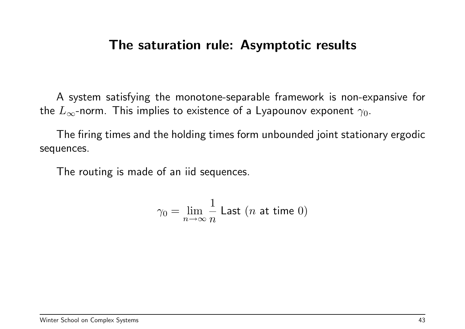#### The saturation rule: Asymptotic results

A system satisfying the monotone-separable framework is non-expansive for the  $L_{\infty}$ -norm. This implies to existence of a Lyapounov exponent  $\gamma_0$ .

The firing times and the holding times form unbounded joint stationary ergodic sequences.

The routing is made of an iid sequences.

$$
\gamma_0 = \lim_{n \to \infty} \frac{1}{n} \text{ Last } (n \text{ at time 0})
$$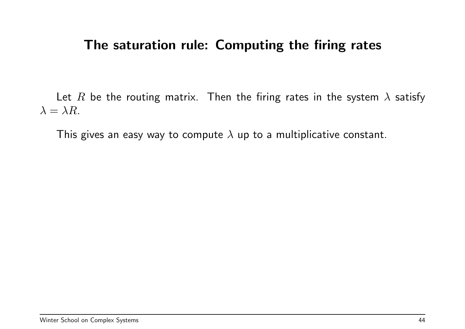#### The saturation rule: Computing the firing rates

Let R be the routing matrix. Then the firing rates in the system  $\lambda$  satisfy  $\lambda = \lambda R$ .

This gives an easy way to compute  $\lambda$  up to a multiplicative constant.